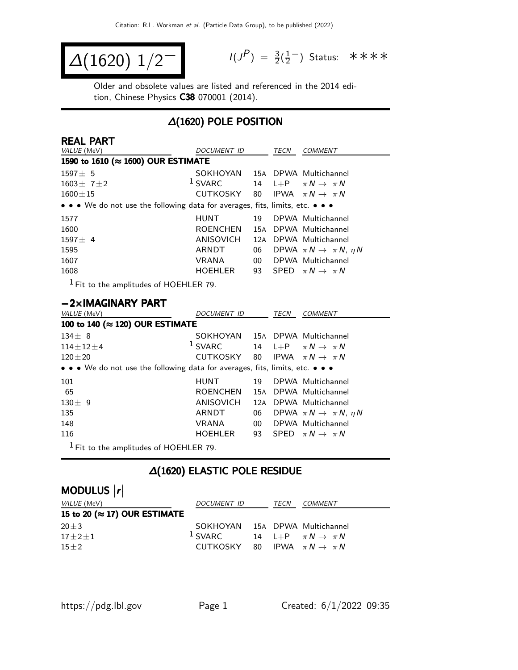$$
\Delta(1620) \; 1/2^{-1} \qquad \qquad ^{1/3}
$$

 $P$ ) =  $\frac{3}{2}(\frac{1}{2})$  $\frac{1}{2}$  Status: \*\*\*\*

Older and obsolete values are listed and referenced in the 2014 edition, Chinese Physics C38 070001 (2014).

## ∆(1620) POLE POSITION

| <b>REAL PART</b>                                                                                                      |                 |                 |      |                                           |
|-----------------------------------------------------------------------------------------------------------------------|-----------------|-----------------|------|-------------------------------------------|
| VALUE (MeV)                                                                                                           | DOCUMENT ID     |                 | TECN | <b>COMMENT</b>                            |
| 1590 to 1610 (≈ 1600) OUR ESTIMATE                                                                                    |                 |                 |      |                                           |
| $1597 + 5$                                                                                                            | SOKHOYAN        |                 |      | 15A DPWA Multichannel                     |
| $1603 \pm 71 \pm 2$                                                                                                   | $1$ SVARC       | 14              |      | L+P $\pi N \rightarrow \pi N$             |
| $1600 \pm 15$                                                                                                         | CUTKOSKY        | -80             |      | IPWA $\pi N \rightarrow \pi N$            |
| $\bullet \bullet \bullet$ We do not use the following data for averages, fits, limits, etc. $\bullet \bullet \bullet$ |                 |                 |      |                                           |
| 1577                                                                                                                  | <b>HUNT</b>     | 19              |      | DPWA Multichannel                         |
| 1600                                                                                                                  | <b>ROENCHEN</b> | 15A             |      | DPWA Multichannel                         |
| $1597 + 4$                                                                                                            | ANISOVICH       | 12A             |      | DPWA Multichannel                         |
| 1595                                                                                                                  | ARNDT           | 06              |      | DPWA $\pi N \rightarrow \pi N$ , $\eta N$ |
| 1607                                                                                                                  | <b>VRANA</b>    | 00 <sup>°</sup> |      | DPWA Multichannel                         |
| 1608                                                                                                                  | <b>HOEHLER</b>  | 93              |      | SPFD $\pi N \rightarrow \pi N$            |
| - 1                                                                                                                   |                 |                 |      |                                           |

 $<sup>1</sup>$  Fit to the amplitudes of HOEHLER 79.</sup>

#### −2×IMAGINARY PART

| VALUE (MeV)                                                                                                           | <b>DOCUMENT ID</b>             |                 | <b>TECN</b> | <b>COMMENT</b>                            |  |  |  |  |
|-----------------------------------------------------------------------------------------------------------------------|--------------------------------|-----------------|-------------|-------------------------------------------|--|--|--|--|
| 100 to 140 (≈ 120) OUR ESTIMATE                                                                                       |                                |                 |             |                                           |  |  |  |  |
| $134 \pm 8$                                                                                                           | SOKHOYAN 15A DPWA Multichannel |                 |             |                                           |  |  |  |  |
| $114 \pm 12 \pm 4$                                                                                                    | <sup>1</sup> SVARC             |                 |             | 14 L+P $\pi N \rightarrow \pi N$          |  |  |  |  |
| $120 \pm 20$                                                                                                          | CUTKOSKY 80                    |                 |             | IPWA $\pi N \rightarrow \pi N$            |  |  |  |  |
| $\bullet \bullet \bullet$ We do not use the following data for averages, fits, limits, etc. $\bullet \bullet \bullet$ |                                |                 |             |                                           |  |  |  |  |
| 101                                                                                                                   | <b>HUNT</b>                    | 19              |             | DPWA Multichannel                         |  |  |  |  |
| 65                                                                                                                    | <b>ROENCHEN</b>                |                 |             | 15A DPWA Multichannel                     |  |  |  |  |
| $130 + 9$                                                                                                             | ANISOVICH                      |                 |             | 12A DPWA Multichannel                     |  |  |  |  |
| 135                                                                                                                   | ARNDT                          | 06              |             | DPWA $\pi N \rightarrow \pi N$ , $\eta N$ |  |  |  |  |
| 148                                                                                                                   | <b>VRANA</b>                   | 00 <sup>°</sup> |             | DPWA Multichannel                         |  |  |  |  |
| 116                                                                                                                   | HOEHLER                        |                 |             | 93 SPED $\pi N \rightarrow \pi N$         |  |  |  |  |
| $1$ Fit to the amplitudes of HOEHLER 79.                                                                              |                                |                 |             |                                           |  |  |  |  |

## ∆(1620) ELASTIC POLE RESIDUE

| MODULUS  r                            |                                                     |      |                |
|---------------------------------------|-----------------------------------------------------|------|----------------|
| <i>VALUE</i> (MeV)                    | DOCUMENT ID                                         | TECN | <i>COMMENT</i> |
| 15 to 20 ( $\approx$ 17) OUR ESTIMATE |                                                     |      |                |
| $20 \pm 3$                            | SOKHOYAN 15A DPWA Multichannel                      |      |                |
| $17 + 2 + 1$                          | <sup>1</sup> SVARC 14 L+P $\pi N \rightarrow \pi N$ |      |                |
| $15 + 2$                              | CUTKOSKY 80 IPWA $\pi N \rightarrow \pi N$          |      |                |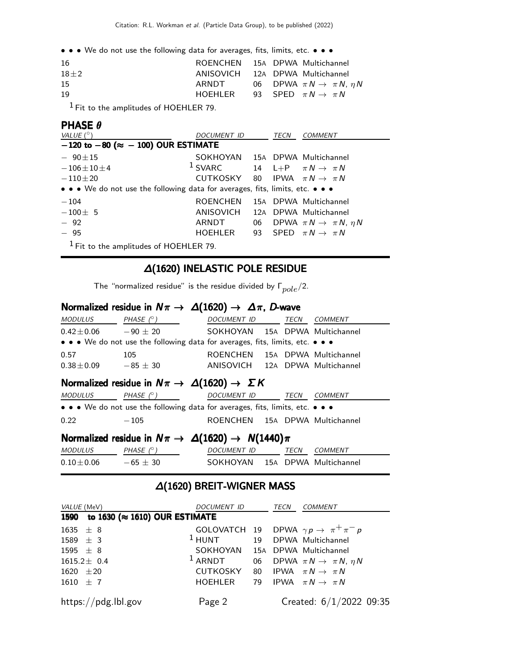• • • We do not use the following data for averages, fits, limits, etc. • • •

| 16       |          | ROENCHEN 15A DPWA Multichannel               |
|----------|----------|----------------------------------------------|
| $18 + 2$ |          | ANISOVICH 12A DPWA Multichannel              |
| 15       | ARNDT    | 06 DPWA $\pi N \rightarrow \pi N$ , $\eta N$ |
| 19       | HOFHI FR | 93 SPED $\pi N \rightarrow \pi N$            |
|          |          |                                              |

1 Fit to the amplitudes of HOEHLER 79.

### PHASE θ

| VALUE $(^\circ)$                                                              | <b>DOCUMENT ID</b>                         | TECN |  | <b>COMMENT</b>                               |  |  |  |  |
|-------------------------------------------------------------------------------|--------------------------------------------|------|--|----------------------------------------------|--|--|--|--|
| $-120$ to $-80$ ( $\approx -100$ ) OUR ESTIMATE                               |                                            |      |  |                                              |  |  |  |  |
| $-90 \pm 15$                                                                  | SOKHOYAN 15A DPWA Multichannel             |      |  |                                              |  |  |  |  |
| $-106 \pm 10 \pm 4$                                                           | $1$ SVARC                                  |      |  | 14 L+P $\pi N \rightarrow \pi N$             |  |  |  |  |
| $-110\pm 20$                                                                  | CUTKOSKY 80 IPWA $\pi N \rightarrow \pi N$ |      |  |                                              |  |  |  |  |
| • • • We do not use the following data for averages, fits, limits, etc. • • • |                                            |      |  |                                              |  |  |  |  |
| $-104$                                                                        | <b>ROENCHEN</b>                            |      |  | 15A DPWA Multichannel                        |  |  |  |  |
| $-100 \pm 5$                                                                  | ANISOVICH                                  |      |  | 12A DPWA Multichannel                        |  |  |  |  |
| $-92$                                                                         | ARNDT                                      |      |  | 06 DPWA $\pi N \rightarrow \pi N$ , $\eta N$ |  |  |  |  |
| $-95$                                                                         | HOEHLER                                    |      |  | 93 SPED $\pi N \rightarrow \pi N$            |  |  |  |  |
| $1$ Fit to the amplitudes of HOEHLER 79.                                      |                                            |      |  |                                              |  |  |  |  |

## ∆(1620) INELASTIC POLE RESIDUE

The "normalized residue" is the residue divided by  $\Gamma_{pole}/2$ .

#### Normalized residue in  $N\pi \to \Delta(1620) \to \Delta\pi$ , D-wave

| MODULUS                                                                                                                 | PHASE $(^\circ)$                                                              | DOCUMENT ID TECN                |  |      | <i>COMMENT</i> |  |  |
|-------------------------------------------------------------------------------------------------------------------------|-------------------------------------------------------------------------------|---------------------------------|--|------|----------------|--|--|
| $0.42 \pm 0.06$ $-90 \pm 20$                                                                                            |                                                                               | SOKHOYAN 15A DPWA Multichannel  |  |      |                |  |  |
|                                                                                                                         | • • • We do not use the following data for averages, fits, limits, etc. • • • |                                 |  |      |                |  |  |
| 0.57                                                                                                                    | 105                                                                           | ROENCHEN 15A DPWA Multichannel  |  |      |                |  |  |
| $0.38 \pm 0.09$ $-85 \pm 30$                                                                                            |                                                                               | ANISOVICH 12A DPWA Multichannel |  |      |                |  |  |
| Normalized residue in $N\pi \to \Delta(1620) \to \Sigma K$<br>$MODULUS$ PHASE $(^\circ)$<br>DOCUMENT ID TECN<br>COMMENT |                                                                               |                                 |  |      |                |  |  |
|                                                                                                                         | • • • We do not use the following data for averages, fits, limits, etc. • • • |                                 |  |      |                |  |  |
| 0.22                                                                                                                    | $-105$                                                                        | ROENCHEN 15A DPWA Multichannel  |  |      |                |  |  |
| Normalized residue in $N\pi \to \Delta(1620) \to N(1440)\pi$                                                            |                                                                               |                                 |  |      |                |  |  |
| <b>MODULUS</b>                                                                                                          | PHASE $(^\circ)$                                                              | <b>DOCUMENT ID</b>              |  | TECN | <b>COMMENT</b> |  |  |

## ∆(1620) BREIT-WIGNER MASS

 $0.10 \pm 0.06$   $-65 \pm 30$  SOKHOYAN 15A DPWA Multichannel

| <i>VALUE</i> (MeV)                 | DOCUMENT ID                                | TECN | COMMENT                                                         |
|------------------------------------|--------------------------------------------|------|-----------------------------------------------------------------|
| 1590 to 1630 (≈ 1610) OUR ESTIMATE |                                            |      |                                                                 |
| 1635 $\pm$ 8                       |                                            |      | GOLOVATCH 19 DPWA $\gamma p \rightarrow \pi^+ \pi^- p$          |
| 1589 $\pm$ 3                       | <sup>1</sup> HUNT 19 DPWA Multichannel     |      |                                                                 |
| 1595 $\pm$ 8                       | SOKHOYAN 15A DPWA Multichannel             |      |                                                                 |
| $1615.2 \pm 0.4$                   |                                            |      | <sup>1</sup> ARNDT 06 DPWA $\pi N \rightarrow \pi N$ , $\eta N$ |
| $1620 \pm 20$                      | CUTKOSKY 80 IPWA $\pi N \rightarrow \pi N$ |      |                                                                 |
| $1610 \pm 7$                       | HOEHLER 79 IPWA $\pi N \rightarrow \pi N$  |      |                                                                 |
| https://pdg.lbl.gov                | Page 2                                     |      | Created: $6/1/2022$ 09:35                                       |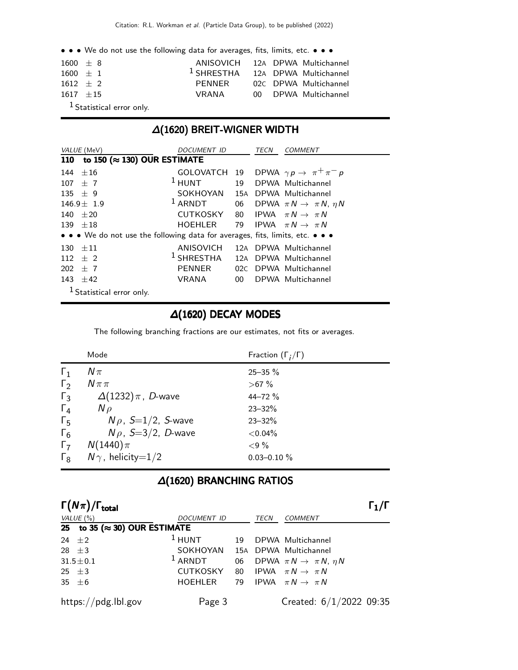• • • We do not use the following data for averages, fits, limits, etc. • • •

| $1600 + 8$  |                             | ANISOVICH 12A DPWA Multichannel             |  |                       |
|-------------|-----------------------------|---------------------------------------------|--|-----------------------|
| $1600 + 1$  |                             | <sup>1</sup> SHRESTHA 12A DPWA Multichannel |  |                       |
| $1612 + 2$  |                             | PENNER                                      |  | 02C DPWA Multichannel |
| $1617 + 15$ |                             | VRANA                                       |  | 00 DPWA Multichannel  |
|             | $1$ Statistical error only. |                                             |  |                       |

## ∆(1620) BREIT-WIGNER WIDTH

| VALUE (MeV)                                                                   | <i>DOCUMENT ID</i>                          |                 | TECN | COMMENT                                      |
|-------------------------------------------------------------------------------|---------------------------------------------|-----------------|------|----------------------------------------------|
| to 150 ( $\approx$ 130) OUR ESTIMATE<br><b>110</b>                            |                                             |                 |      |                                              |
| 144 $\pm 16$                                                                  | GOLOVATCH 19                                |                 |      | DPWA $\gamma p \rightarrow \pi^+ \pi^- p$    |
| $107 + 7$                                                                     | $1$ HUNT                                    |                 |      | 19 DPWA Multichannel                         |
| 135 $\pm$ 9                                                                   | SOKHOYAN 15A                                |                 |      | DPWA Multichannel                            |
| $146.9 \pm 1.9$                                                               | $1$ ARNDT                                   |                 |      | 06 DPWA $\pi N \rightarrow \pi N$ , $\eta N$ |
| $140 + 20$                                                                    | CUTKOSKY                                    | 80              |      | IPWA $\pi N \rightarrow \pi N$               |
| $139 + 18$                                                                    | HOEHLER                                     |                 |      | 79 IPWA $\pi N \rightarrow \pi N$            |
| • • • We do not use the following data for averages, fits, limits, etc. • • • |                                             |                 |      |                                              |
| $130 + 11$                                                                    | ANISOVICH 12A DPWA Multichannel             |                 |      |                                              |
| $112 + 2$                                                                     | <sup>1</sup> SHRESTHA 12A DPWA Multichannel |                 |      |                                              |
| $202 + 7$                                                                     | <b>PENNER</b>                               |                 |      | 02C DPWA Multichannel                        |
| 143 $\pm 42$                                                                  | VRANA                                       | 00 <sup>1</sup> |      | DPWA Multichannel                            |
| <sup>1</sup> Statistical error only.                                          |                                             |                 |      |                                              |

## ∆(1620) DECAY MODES

The following branching fractions are our estimates, not fits or averages.

|              | Mode                       | Fraction $(\Gamma_i/\Gamma)$ |
|--------------|----------------------------|------------------------------|
| $\Gamma_1$   | $N\pi$                     | $25 - 35 \%$                 |
| $\Gamma_2$   | $N \pi \pi$                | $>67\%$                      |
| $\Gamma_3$   | $\Delta(1232)\pi$ , D-wave | 44-72 %                      |
| $\Gamma_4$   | $N \rho$                   | $23 - 32%$                   |
| $\Gamma_{5}$ | $N\rho$ , S=1/2, S-wave    | $23 - 32%$                   |
| $\Gamma_6$   | $N\rho$ , S=3/2, D-wave    | ${<}0.04\%$                  |
| $\Gamma_7$   | $N(1440)\pi$               | ${<}9\%$                     |
| $\Gamma_{8}$ | $N\gamma$ , helicity=1/2   | $0.03 - 0.10 \%$             |

## ∆(1620) BRANCHING RATIOS

| $\Gamma(N\pi)/\Gamma_{\rm total}$     |                                |    |      |                                              |  |
|---------------------------------------|--------------------------------|----|------|----------------------------------------------|--|
| VALUE $(\% )$                         | <b>DOCUMENT ID</b>             |    | TECN | <b>COMMENT</b>                               |  |
| 25 to 35 ( $\approx$ 30) OUR ESTIMATE |                                |    |      |                                              |  |
| 24 $\pm 2$                            | $1$ HUNT                       | 19 |      | DPWA Multichannel                            |  |
| 28 $\pm$ 3                            | SOKHOYAN 15A DPWA Multichannel |    |      |                                              |  |
| $31.5 \pm 0.1$                        | $1$ ARNDT                      |    |      | 06 DPWA $\pi N \rightarrow \pi N$ , $\eta N$ |  |
| 25 $\pm$ 3                            | CUTKOSKY 80                    |    |      | IPWA $\pi N \rightarrow \pi N$               |  |
| 35 $\pm$ 6                            | HOEHLER                        | 79 |      | IPWA $\pi N \rightarrow \pi N$               |  |
| https://pdg.lbl.gov                   | Page 3                         |    |      | Created: $6/1/2022$ 09:35                    |  |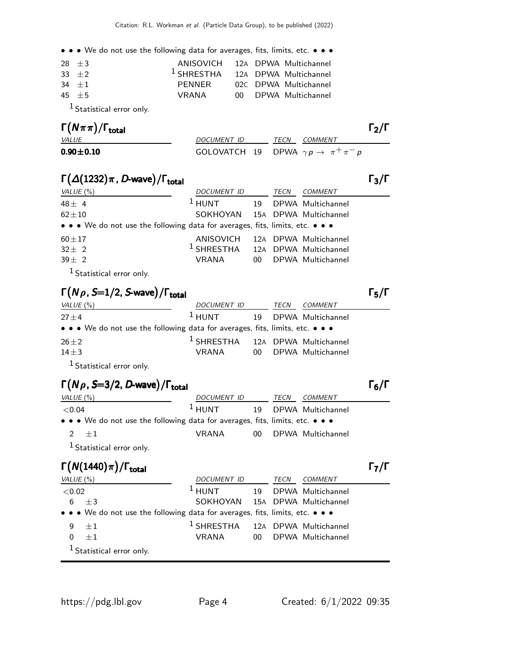• • • We do not use the following data for averages, fits, limits, etc. • • •

| $28 + 3$ | ANISOVICH 12A DPWA Multichannel             |  |                       |
|----------|---------------------------------------------|--|-----------------------|
| $33 + 2$ | <sup>1</sup> SHRESTHA 12A DPWA Multichannel |  |                       |
| $34 + 1$ | PFNNFR                                      |  | 02C DPWA Multichannel |
| $45 + 5$ | VRANA                                       |  | 00 DPWA Multichannel  |
|          |                                             |  |                       |

1 Statistical error only.

| $\Gamma(N\pi\pi)/\Gamma_{\rm total}$ |                                                        | $\Gamma_{2}/\Gamma$ |
|--------------------------------------|--------------------------------------------------------|---------------------|
| <i>VALUE</i>                         | <i>DOCUMENT ID</i>                                     | <i>TECN COMMENT</i> |
| $0.90 \pm 0.10$                      | GOLOVATCH 19 DPWA $\gamma p \rightarrow \pi^+ \pi^- p$ |                     |

## $\Gamma(\Delta(1232)\pi$ , D-wave)/ $\Gamma_{\text{total}}$  (Γ

| VALUE $(\% )$                                                                 | DOCUMENT ID                                 | TECN | <i>COMMENT</i>        |
|-------------------------------------------------------------------------------|---------------------------------------------|------|-----------------------|
| $48 \pm 4$                                                                    | $1$ HUNT                                    |      | 19 DPWA Multichannel  |
| $62 \pm 10$                                                                   | SOKHOYAN 15A DPWA Multichannel              |      |                       |
| • • • We do not use the following data for averages, fits, limits, etc. • • • |                                             |      |                       |
| $60 \pm 17$                                                                   | ANISOVICH                                   |      | 12A DPWA Multichannel |
| $32 \pm 2$                                                                    | <sup>1</sup> SHRESTHA 12A DPWA Multichannel |      |                       |
| $39 \pm 2$                                                                    | VRANA                                       |      | 00 DPWA Multichannel  |
|                                                                               |                                             |      |                       |

1 Statistical error only.

## $\Gamma(N\rho,\mathit{S}=1/2,\mathit{S}\text{-wave})/\Gamma_\text{total}$  Γ<sub>5</sub>/Γ

| VALUE (%)                                                                     | DOCUMENT ID                                 | TECN | <i>COMMENT</i>       |
|-------------------------------------------------------------------------------|---------------------------------------------|------|----------------------|
| $27 + 4$                                                                      | $1$ HUNT                                    |      | 19 DPWA Multichannel |
| • • • We do not use the following data for averages, fits, limits, etc. • • • |                                             |      |                      |
| $26 + 2$                                                                      | <sup>1</sup> SHRESTHA 12A DPWA Multichannel |      |                      |
| $14 + 3$                                                                      | VRANA                                       |      | 00 DPWA Multichannel |
|                                                                               |                                             |      |                      |

1 Statistical error only.

## $\Gamma(N \rho$ , S=3/2, D-wave)/Γ<sub>total</sub> Γεργανικό προσπάθει της Γεργανικής Γεργανικής Γεργανικής Γεργανικής Γεργανικής

| VALUE $(\% )$                                                                 | <i>DOCUMENT ID</i> |  | TECN | <i>COMMENT</i>       |
|-------------------------------------------------------------------------------|--------------------|--|------|----------------------|
| ${<}0.04$                                                                     | $1$ HUNT           |  |      | 19 DPWA Multichannel |
| • • • We do not use the following data for averages, fits, limits, etc. • • • |                    |  |      |                      |
| $2 + 1$                                                                       | VRANA              |  |      | 00 DPWA Multichannel |
| <sup>1</sup> Statistical error only.                                          |                    |  |      |                      |

# Γ $(N(1440)\pi)/\Gamma_{\text{total}}$ Γ

| VALUE $(\%)$ |                                                                               | <i>DOCUMENT ID</i>                          | TECN | COMMENT |
|--------------|-------------------------------------------------------------------------------|---------------------------------------------|------|---------|
| ${<}0.02$    |                                                                               | <sup>1</sup> HUNT 19 DPWA Multichannel      |      |         |
| 6 $\pm 3$    |                                                                               | SOKHOYAN 15A DPWA Multichannel              |      |         |
|              | • • • We do not use the following data for averages, fits, limits, etc. • • • |                                             |      |         |
| $+1$<br>9    |                                                                               | <sup>1</sup> SHRESTHA 12A DPWA Multichannel |      |         |
| $+1$<br>0    |                                                                               | VRANA 00 DPWA Multichannel                  |      |         |
|              | <sup>1</sup> Statistical error only.                                          |                                             |      |         |